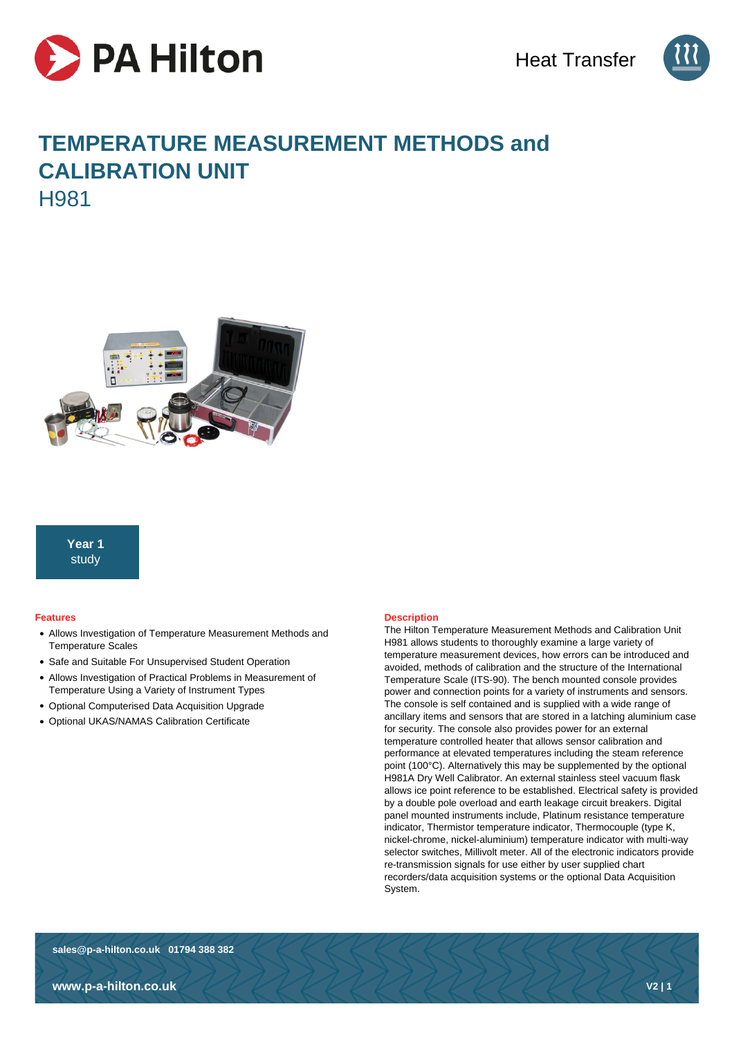



# **TEMPERATURE MEASUREMENT METHODS and CALIBRATION UNIT** H981



# **Year 1** study

# **Features**

- Allows Investigation of Temperature Measurement Methods and Temperature Scales
- Safe and Suitable For Unsupervised Student Operation
- Allows Investigation of Practical Problems in Measurement of Temperature Using a Variety of Instrument Types
- Optional Computerised Data Acquisition Upgrade
- Optional UKAS/NAMAS Calibration Certificate

# **Description**

The Hilton Temperature Measurement Methods and Calibration Unit H981 allows students to thoroughly examine a large variety of temperature measurement devices, how errors can be introduced and avoided, methods of calibration and the structure of the International Temperature Scale (ITS-90). The bench mounted console provides power and connection points for a variety of instruments and sensors. The console is self contained and is supplied with a wide range of ancillary items and sensors that are stored in a latching aluminium case for security. The console also provides power for an external temperature controlled heater that allows sensor calibration and performance at elevated temperatures including the steam reference point (100°C). Alternatively this may be supplemented by the optional H981A Dry Well Calibrator. An external stainless steel vacuum flask allows ice point reference to be established. Electrical safety is provided by a double pole overload and earth leakage circuit breakers. Digital panel mounted instruments include, Platinum resistance temperature indicator, Thermistor temperature indicator, Thermocouple (type K, nickel-chrome, nickel-aluminium) temperature indicator with multi-way selector switches, Millivolt meter. All of the electronic indicators provide re-transmission signals for use either by user supplied chart recorders/data acquisition systems or the optional Data Acquisition System.